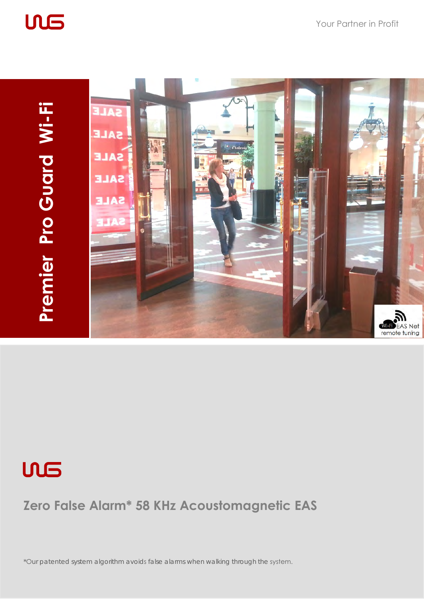







### **Zero False Alarm\* 58 KHz Acoustomagnetic EAS**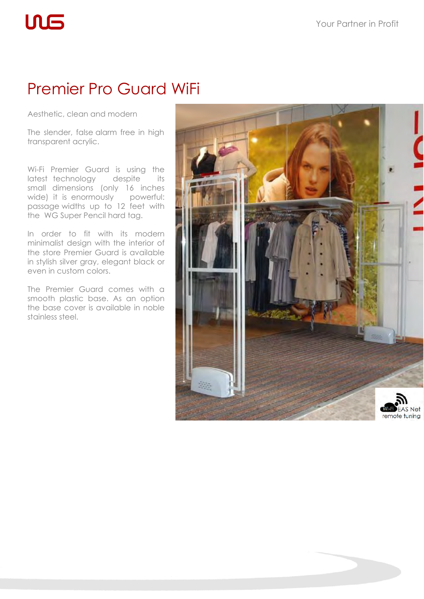## Premier Pro Guard WiFi

Aesthetic, clean and modern

**ULS** 

The slender, false alarm free in high transparent acrylic.

Wi-Fi Premier Guard is using the latest technology despite its small dimensions (only 16 inches wide) it is enormously powerful: passage widths up to 12 feet with the WG Super Pencil hard tag.

In order to fit with its modern minimalist design with the interior of the store Premier Guard is available in stylish silver gray, elegant black or even in custom colors.

The Premier Guard comes with a smooth plastic base. As an option the base cover is available in noble stainless steel.

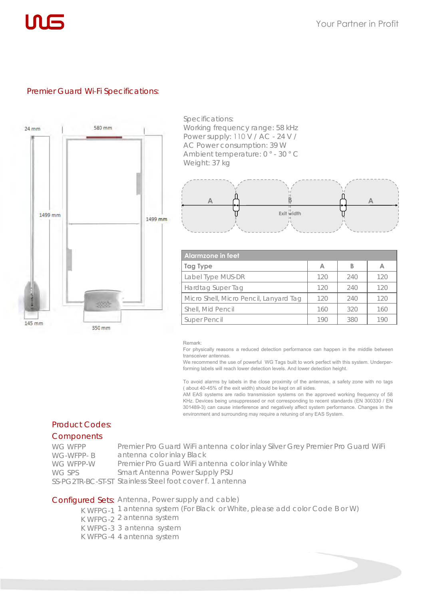#### Premier Guard Wi-Fi Specifications:



Specifications: Working frequency range: 58 kHz Power supply: 110 V / AC - 24 V / AC Power consumption: 39 W Ambient temperature: 0 ° - 30 ° C Weight: 37 kg



| Algrmzone in feet                      |     |     |     |  |
|----------------------------------------|-----|-----|-----|--|
| <b>Tag Type</b>                        | A   | B   | А   |  |
| Label Type MUS-DR                      | 120 | 240 | 120 |  |
| Hardtag Super Tag                      | 120 | 240 | 120 |  |
| Micro Shell, Micro Pencil, Lanyard Tag | 120 | 240 | 120 |  |
| Shell, Mid Pencil                      | 160 | 320 | 160 |  |
| Super Pencil                           | 190 | 380 |     |  |

#### Remark:

For physically reasons a reduced detection performance can happen in the middle between transceiver antennas.

We recommend the use of powerful WG Tags built to work perfect with this system. Underperforming labels will reach lower detection levels. And lower detection height.

To avoid alarms by labels in the close proximity of the antennas, a safety zone with no tags ( about 40-45% of the exit width) should be kept on all sides.

AM EAS systems are radio transmission systems on the approved working frequency of 58 KHz. Devices being unsuppressed or not corresponding to recent standards (EN 300330 / EN 301489-3) can cause interference and negatively affect system performance. Changes in the environment and surrounding may require a retuning of any EAS System.

#### Product Codes:

#### Components

| WG WFPP   | Premier Pro Guard WiFi antenna color inlay Silver Grey Premier Pro Guard WiFi |
|-----------|-------------------------------------------------------------------------------|
| WG-WFPP-B | antenna color inlay Black                                                     |
| WG WFPP-W | Premier Pro Guard WiFi antenna color inlay White                              |
| WG SPS    | Smart Antenna Power Supply PSU                                                |
|           | SS-PG2TR-BC-ST-ST Stainless Steel foot cover f. 1 antenna                     |

#### Configured Sets: Antenna, Power supply and cable)

K WFPG-1 1 antenna system (For Black or White, please add color Code B or W) K WFPG-2 2 antenna system K WFPG-3 3 antenna system

K WFPG-4 4 antenna system

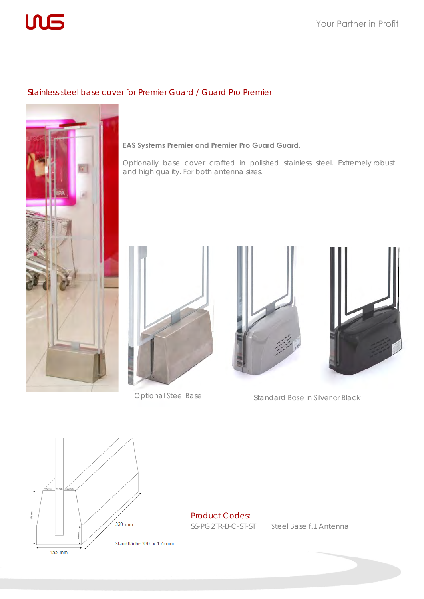

#### Stainless steel base cover for Premier Guard / Guard Pro Premier



#### **EAS Systems Premier and Premier Pro Guard Guard.**

Optionally base cover crafted in polished stainless steel. Extremely robust and high quality. For both antenna sizes.









Optional Steel Base Standard Base in Silver or Black



Product Codes:

SS-PG2TR-B-C-ST-ST Steel Base f.1 Antenna

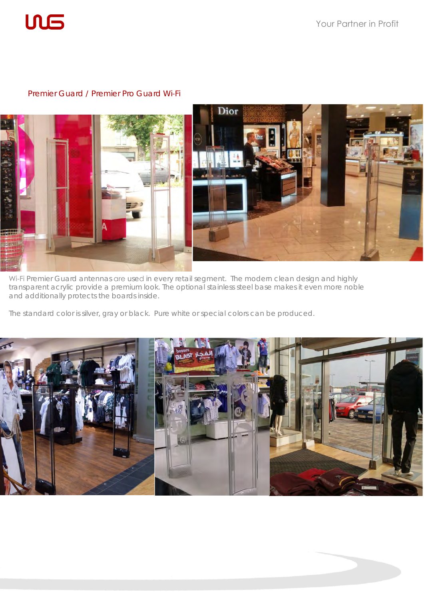

#### Premier Guard / Premier Pro Guard Wi-Fi



Wi-Fi Premier Guard antennas are used in every retail segment. The modern clean design and highly transparent acrylic provide a premium look. The optional stainless steel base makes it even more noble and additionally protects the boards inside.

The standard color is silver, gray or black. Pure white or special colors can be produced.

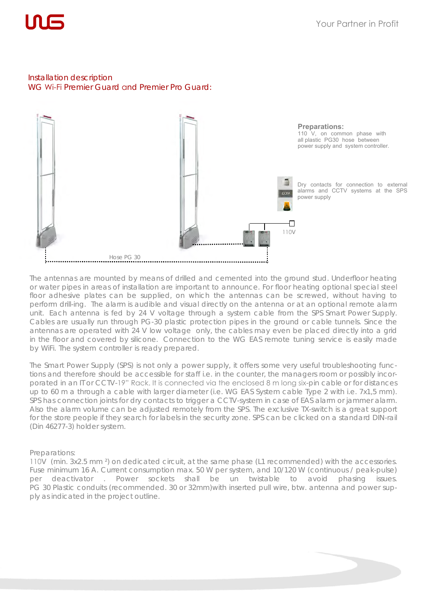

#### Installation description WG Wi-Fi Premier Guard and Premier Pro Guard:



The antennas are mounted by means of drilled and cemented into the ground stud. Underfloor heating or water pipes in areas of installation are important to announce. For floor heating optional special steel floor adhesive plates can be supplied, on which the antennas can be screwed, without having to perform drill-ing. The alarm is audible and visual directly on the antenna or at an optional remote alarm unit. Each antenna is fed by 24 V voltage through a system cable from the SPS Smart Power Supply. Cables are usually run through PG-30 plastic protection pipes in the ground or cable tunnels. Since the antennas are operated with 24 V low voltage only, the cables may even be placed directly into a grid in the floor and covered by silicone. Connection to the WG EAS remote tuning service is easily made by WiFi. The system controller is ready prepared.

The Smart Power Supply (SPS) is not only a power supply, it offers some very useful troubleshooting functions and therefore should be accessible for staff i.e. in the counter, the managers room or possibly incorporated in an IT or CCTV-19" Rack. It is connected via the enclosed 8 m long six-pin cable or for distances up to 60 m a through a cable with larger diameter (i.e. WG EAS System cable Type 2 with i.e. 7x1,5 mm). SPS has connection joints for dry contacts to trigger a CCTV-system in case of EAS alarm or jammer alarm. Also the alarm volume can be adjusted remotely from the SPS. The exclusive TX-switch is a great support for the store people if they search for labels in the security zone. SPS can be clicked on a standard DIN-rail (Din 46277-3) holder system.

#### Preparations:

110V (min. 3x2.5 mm ²) on dedicated circuit, at the same phase (L1 recommended) with the accessories. Fuse minimum 16 A. Current consumption max. 50 W per system, and 10/120 W (continuous / peak-pulse) per deactivator . Power sockets shall be un twistable to avoid phasing issues. PG 30 Plastic conduits (recommended. 30 or 32mm)with inserted pull wire, btw. antenna and power supply as indicated in the project outline.